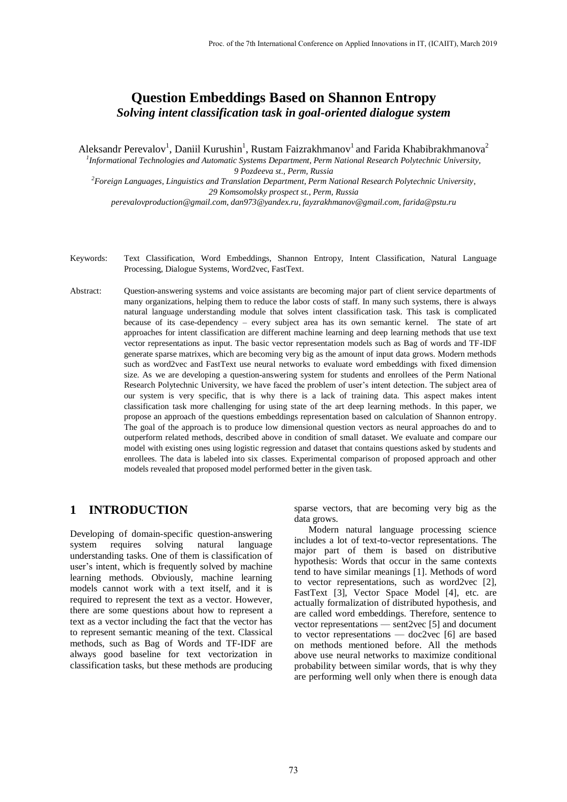# **Question Embeddings Based on Shannon Entropy** *Solving intent classification task in goal-oriented dialogue system*

Aleksandr Perevalov<sup>1</sup>, Daniil Kurushin<sup>1</sup>, Rustam Faizrakhmanov<sup>1</sup> and Farida Khabibrakhmanova<sup>2</sup>

*1 Informational Technologies and Automatic Systems Department, Perm National Research Polytechnic University, 9 Pozdeeva st., Perm, Russia*

*<sup>2</sup>Foreign Languages, Linguistics and Translation Department, Perm National Research Polytechnic University, 29 Komsomolsky prospect st., Perm, Russia perevalovproduction@gmail.com, dan973@yandex.ru, fayzrakhmanov@gmail.com, farida@pstu.ru* 

- Keywords: Text Classification, Word Embeddings, Shannon Entropy, Intent Classification, Natural Language Processing, Dialogue Systems, Word2vec, FastText.
- Abstract: Question-answering systems and voice assistants are becoming major part of client service departments of many organizations, helping them to reduce the labor costs of staff. In many such systems, there is always natural language understanding module that solves intent classification task. This task is complicated because of its case-dependency – every subject area has its own semantic kernel. The state of art approaches for intent classification are different machine learning and deep learning methods that use text vector representations as input. The basic vector representation models such as Bag of words and TF-IDF generate sparse matrixes, which are becoming very big as the amount of input data grows. Modern methods such as word2vec and FastText use neural networks to evaluate word embeddings with fixed dimension size. As we are developing a question-answering system for students and enrollees of the Perm National Research Polytechnic University, we have faced the problem of user's intent detection. The subject area of our system is very specific, that is why there is a lack of training data. This aspect makes intent classification task more challenging for using state of the art deep learning methods. In this paper, we propose an approach of the questions embeddings representation based on calculation of Shannon entropy. The goal of the approach is to produce low dimensional question vectors as neural approaches do and to outperform related methods, described above in condition of small dataset. We evaluate and compare our model with existing ones using logistic regression and dataset that contains questions asked by students and enrollees. The data is labeled into six classes. Experimental comparison of proposed approach and other models revealed that proposed model performed better in the given task.

# **1 INTRODUCTION**

Developing of domain-specific question-answering system requires solving natural language understanding tasks. One of them is classification of user's intent, which is frequently solved by machine learning methods. Obviously, machine learning models cannot work with a text itself, and it is required to represent the text as a vector. However, there are some questions about how to represent a text as a vector including the fact that the vector has to represent semantic meaning of the text. Classical methods, such as Bag of Words and TF-IDF are always good baseline for text vectorization in classification tasks, but these methods are producing

sparse vectors, that are becoming very big as the data grows.

Modern natural language processing science includes a lot of text-to-vector representations. The major part of them is based on distributive hypothesis: Words that occur in the same contexts tend to have similar meanings [1]. Methods of word to vector representations, such as word2vec [2], FastText [3], Vector Space Model [4], etc. are actually formalization of distributed hypothesis, and are called word embeddings. Therefore, sentence to vector representations — sent2vec [5] and document to vector representations — doc2vec [6] are based on methods mentioned before. All the methods above use neural networks to maximize conditional probability between similar words, that is why they are performing well only when there is enough data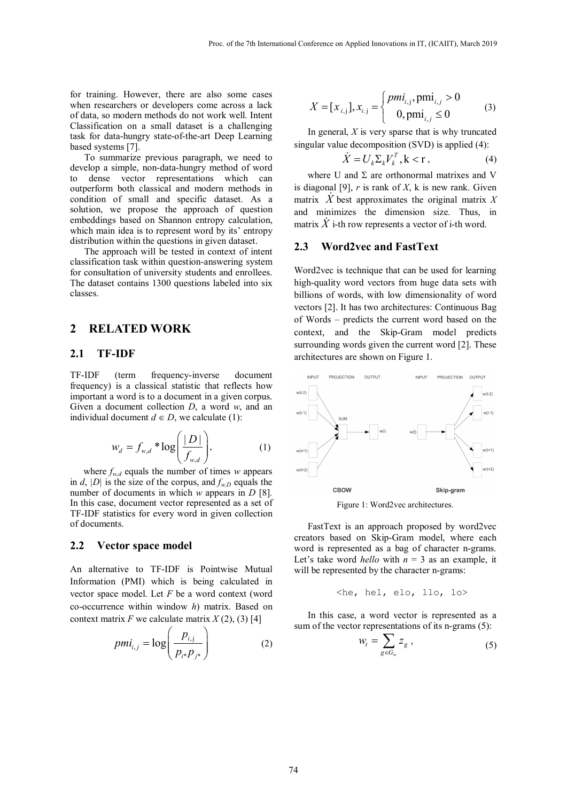for training. However, there are also some cases when researchers or developers come across a lack of data, so modern methods do not work well. Intent Classification on a small dataset is a challenging task for data-hungry state-of-the-art Deep Learning based systems [7].

To summarize previous paragraph, we need to develop a simple, non-data-hungry method of word to dense vector representations which can outperform both classical and modern methods in condition of small and specific dataset. As a solution, we propose the approach of question embeddings based on Shannon entropy calculation, which main idea is to represent word by its' entropy distribution within the questions in given dataset.

The approach will be tested in context of intent classification task within question-answering system for consultation of university students and enrollees. The dataset contains 1300 questions labeled into six classes.

### **2 RELATED WORK**

### **2.1 TF-IDF**

TF-IDF (term frequency-inverse document frequency) is a classical statistic that reflects how important a word is to a document in a given corpus. Given a document collection *D*, a word *w*, and an individual document  $d \in D$ , we calculate (1):

$$
w_d = f_{w,d} * \log\left(\frac{|D|}{f_{w,d}}\right),\tag{1}
$$

where  $f_{w,d}$  equals the number of times *w* appears in *d*,  $|D|$  is the size of the corpus, and  $f_{w,D}$  equals the number of documents in which *w* appears in *D* [8]*.*  In this case, document vector represented as a set of TF-IDF statistics for every word in given collection of documents.

#### **2.2 Vector space model**

An alternative to TF-IDF is Pointwise Mutual Information (PMI) which is being calculated in vector space model. Let *F* be a word context (word co-occurrence within window *h*) matrix. Based on context matrix  $F$  we calculate matrix  $X(2)$ , (3) [4]

$$
pmi_{i,j} = \log\left(\frac{p_{i,j}}{p_{i^*}p_{j^*}}\right) \tag{2}
$$

$$
X = [x_{i,j}], x_{i,j} = \begin{cases} p m i_{i,j}, p m i_{i,j} > 0 \\ 0, p m i_{i,j} \le 0 \end{cases}
$$
 (3)

In general, *X* is very sparse that is why truncated singular value decomposition (SVD) is applied (4):

$$
\dot{X} = U_k \Sigma_k V_k^T, \mathbf{k} < \mathbf{r} \,, \tag{4}
$$

where U and  $\Sigma$  are orthonormal matrixes and V is diagonal [9], *r* is rank of *X*, k is new rank. Given matrix *X* best approximates the original matrix *<sup>X</sup>* and minimizes the dimension size. Thus, in matrix  $\overline{X}$  i-th row represents a vector of i-th word.

#### **2.3 Word2vec and FastText**

Word2vec is technique that can be used for learning high-quality word vectors from huge data sets with billions of words, with low dimensionality of word vectors [2]. It has two architectures: Continuous Bag of Words – predicts the current word based on the context, and the Skip-Gram model predicts surrounding words given the current word [2]. These architectures are shown on Figure 1.



Figure 1: Word2vec architectures.

FastText is an approach proposed by word2vec creators based on Skip-Gram model, where each word is represented as a bag of character n-grams. Let's take word *hello* with  $n = 3$  as an example, it will be represented by the character n-grams:

$$
\langle
$$
he, hel, elo, llo, lo $\rangle$ 

In this case, a word vector is represented as a sum of the vector representations of its n-grams (5):

$$
W_t = \sum_{g \in G_w} Z_g \tag{5}
$$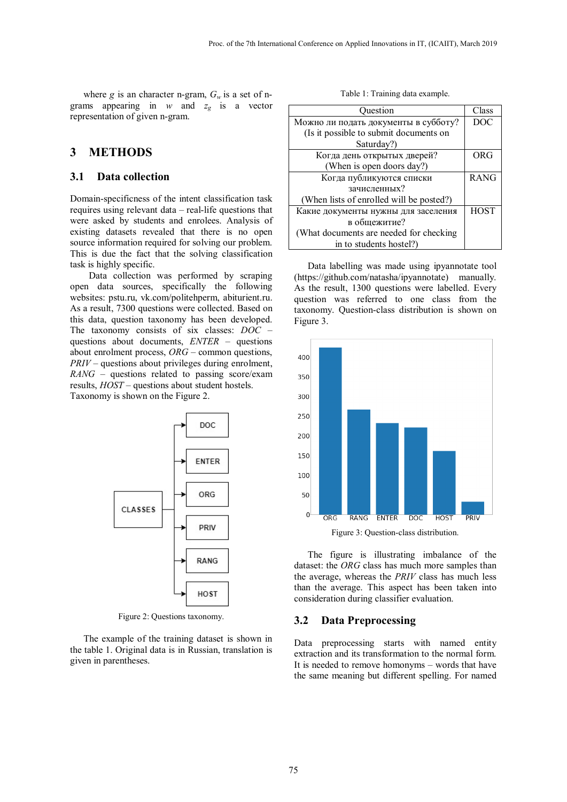where *g* is an character n-gram,  $G_w$  is a set of ngrams appearing in  $w$  and  $z_g$  is a vector representation of given n-gram.

## **3 METHODS**

### **3.1 Data collection**

Domain-specificness of the intent classification task requires using relevant data – real-life questions that were asked by students and enrolees. Analysis of existing datasets revealed that there is no open source information required for solving our problem. This is due the fact that the solving classification task is highly specific.

Data collection was performed by scraping open data sources, specifically the following websites: pstu.ru, vk.com/politehperm, abiturient.ru. As a result, 7300 questions were collected. Based on this data, question taxonomy has been developed. The taxonomy consists of six classes: *DOC* – questions about documents, *ENTER* – questions about enrolment process, *ORG* – common questions, *PRIV* – questions about privileges during enrolment, *RANG* – questions related to passing score/exam results, *HOST* – questions about student hostels. Taxonomy is shown on the Figure 2.



Figure 2: Questions taxonomy.

The example of the training dataset is shown in the table 1. Original data is in Russian, translation is given in parentheses.

Table 1: Training data example.

| Ouestion                                 | Class       |
|------------------------------------------|-------------|
| Можно ли подать документы в субботу?     | DOC         |
| (Is it possible to submit documents on   |             |
| Saturday?)                               |             |
| Когда день открытых дверей?              | ORG         |
| (When is open doors day?)                |             |
| Когда публикуются списки                 | <b>RANG</b> |
| зачисленных?                             |             |
| (When lists of enrolled will be posted?) |             |
| Какие документы нужны для заселения      | <b>HOST</b> |
| в общежитие?                             |             |
| (What documents are needed for checking  |             |
| in to students hostel?)                  |             |

Data labelling was made using ipyannotate tool (https://github.com/natasha/ipyannotate) manually. As the result, 1300 questions were labelled. Every question was referred to one class from the taxonomy. Question-class distribution is shown on Figure 3.



The figure is illustrating imbalance of the dataset: the *ORG* class has much more samples than the average, whereas the *PRIV* class has much less than the average. This aspect has been taken into consideration during classifier evaluation.

#### **3.2 Data Preprocessing**

Data preprocessing starts with named entity extraction and its transformation to the normal form. It is needed to remove homonyms – words that have the same meaning but different spelling. For named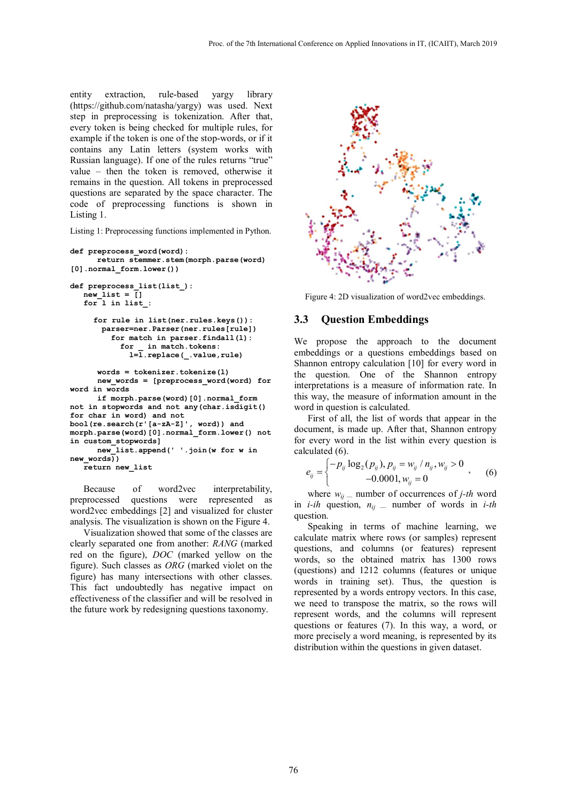entity extraction, rule-based yargy library (https://github.com/natasha/yargy) was used. Next step in preprocessing is tokenization. After that, every token is being checked for multiple rules, for example if the token is one of the stop-words, or if it contains any Latin letters (system works with Russian language). If one of the rules returns "true" value – then the token is removed, otherwise it remains in the question. All tokens in preprocessed questions are separated by the space character. The code of preprocessing functions is shown in Listing 1.

Listing 1: Preprocessing functions implemented in Python.

```
def preprocess_word(word): 
      return stemmer.stem(morph.parse(word) 
[0].normal_form.lower()) 
def preprocess_list(list_): 
   new_list = [] 
   for l in list_: 
      for rule in list(ner.rules.keys()): 
        parser=ner.Parser(ner.rules[rule]) 
          for match in parser.findall(l): 
            for _ in match.tokens: 
             l=l.replace(_.value,rule) 
       words = tokenizer.tokenize(l) 
       new_words = [preprocess_word(word) for 
word in words 
       if morph.parse(word)[0].normal_form 
not in stopwords and not any(char.isdigit() 
for char in word) and not 
bool(re.search(r'[a-zA-Z]', word)) and 
morph.parse(word)[0].normal_form.lower() not 
in custom_stopwords] 
       new_list.append(' '.join(w for w in 
new_words)) 
   return new_list
```
Because of word2vec interpretability, preprocessed questions were represented as word2vec embeddings [2] and visualized for cluster analysis. The visualization is shown on the Figure 4.

Visualization showed that some of the classes are clearly separated one from another: *RANG* (marked red on the figure), *DOC* (marked yellow on the figure). Such classes as *ORG* (marked violet on the figure) has many intersections with other classes. This fact undoubtedly has negative impact on effectiveness of the classifier and will be resolved in the future work by redesigning questions taxonomy.



Figure 4: 2D visualization of word2vec embeddings.

#### **3.3 Question Embeddings**

We propose the approach to the document embeddings or a questions embeddings based on Shannon entropy calculation [10] for every word in the question. One of the Shannon entropy interpretations is a measure of information rate. In this way, the measure of information amount in the word in question is calculated.

First of all, the list of words that appear in the document, is made up. After that, Shannon entropy for every word in the list within every question is calculated (6).

$$
e_{ij} = \begin{cases} -p_{ij} \log_2(p_{ij}), p_{ij} = w_{ij} / n_{ij}, w_{ij} > 0 \\ -0.0001, w_{ij} = 0 \end{cases}, \quad (6)
$$

where  $w_{ii}$  — number of occurrences of *j*-th word in *i-ih* question,  $n_{ij}$  — number of words in *i-th* question.

Speaking in terms of machine learning, we calculate matrix where rows (or samples) represent questions, and columns (or features) represent words, so the obtained matrix has 1300 rows (questions) and 1212 columns (features or unique words in training set). Thus, the question is represented by a words entropy vectors. In this case, we need to transpose the matrix, so the rows will represent words, and the columns will represent questions or features (7). In this way, a word, or more precisely a word meaning, is represented by its distribution within the questions in given dataset.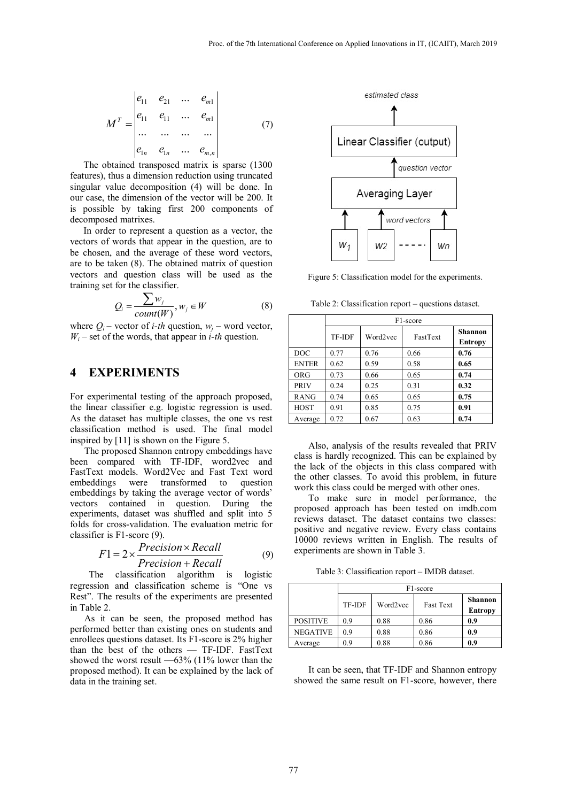$$
M^{T} = \begin{vmatrix} e_{11} & e_{21} & \dots & e_{m1} \\ e_{11} & e_{11} & \dots & e_{m1} \\ \dots & \dots & \dots & \dots \\ e_{1n} & e_{1n} & \dots & e_{m,n} \end{vmatrix}
$$
 (7)

The obtained transposed matrix is sparse (1300 features), thus a dimension reduction using truncated singular value decomposition (4) will be done. In our case, the dimension of the vector will be 200. It is possible by taking first 200 components of decomposed matrixes.

In order to represent a question as a vector, the vectors of words that appear in the question, are to be chosen, and the average of these word vectors, are to be taken (8). The obtained matrix of question vectors and question class will be used as the training set for the classifier.

$$
Q_i = \frac{\sum w_j}{count(W)}, w_j \in W
$$
 (8)

where  $Q_i$  – vector of *i-th* question,  $w_i$  – word vector,  $W_i$  – set of the words, that appear in *i-th* question.

## **4 EXPERIMENTS**

For experimental testing of the approach proposed, the linear classifier e.g. logistic regression is used. As the dataset has multiple classes, the one vs rest classification method is used. The final model inspired by [11] is shown on the Figure 5.

The proposed Shannon entropy embeddings have been compared with TF-IDF, word2vec and FastText models. Word2Vec and Fast Text word embeddings were transformed to question embeddings by taking the average vector of words' vectors contained in question. During the experiments, dataset was shuffled and split into 5 folds for cross-validation. The evaluation metric for classifier is F1-score (9).

$$
F1 = 2 \times \frac{Precision \times Recall}{Precision + Recall}
$$
 (9)

The classification algorithm is logistic regression and classification scheme is "One vs Rest". The results of the experiments are presented in Table 2.

As it can be seen, the proposed method has performed better than existing ones on students and enrollees questions dataset. Its F1-score is 2% higher than the best of the others — TF-IDF. FastText showed the worst result —63% (11% lower than the proposed method). It can be explained by the lack of data in the training set.



Figure 5: Classification model for the experiments.

Table 2: Classification report – questions dataset.

|              | F1-score |          |          |                                  |  |
|--------------|----------|----------|----------|----------------------------------|--|
|              | TF-IDF   | Word2vec | FastText | <b>Shannon</b><br><b>Entropy</b> |  |
| <b>DOC</b>   | 0.77     | 0.76     | 0.66     | 0.76                             |  |
| <b>ENTER</b> | 0.62     | 0.59     | 0.58     | 0.65                             |  |
| <b>ORG</b>   | 0.73     | 0.66     | 0.65     | 0.74                             |  |
| <b>PRIV</b>  | 0.24     | 0.25     | 0.31     | 0.32                             |  |
| <b>RANG</b>  | 0.74     | 0.65     | 0.65     | 0.75                             |  |
| <b>HOST</b>  | 0.91     | 0.85     | 0.75     | 0.91                             |  |
| Average      | 0.72     | 0.67     | 0.63     | 0.74                             |  |

Also, analysis of the results revealed that PRIV class is hardly recognized. This can be explained by the lack of the objects in this class compared with the other classes. To avoid this problem, in future work this class could be merged with other ones.

To make sure in model performance, the proposed approach has been tested on imdb.com reviews dataset. The dataset contains two classes: positive and negative review. Every class contains 10000 reviews written in English. The results of experiments are shown in Table 3.

Table 3: Classification report – IMDB dataset.

|                 | F <sub>1</sub> -score |          |                  |                                  |  |
|-----------------|-----------------------|----------|------------------|----------------------------------|--|
|                 | TF-IDF                | Word2vec | <b>Fast Text</b> | <b>Shannon</b><br><b>Entropy</b> |  |
| <b>POSITIVE</b> | 0.9                   | 0.88     | 0.86             | 0.9                              |  |
| <b>NEGATIVE</b> | 0.9                   | 0.88     | 0.86             | 0.9                              |  |
| Average         | 0.9                   | 0.88     | 0.86             | 0.9                              |  |

It can be seen, that TF-IDF and Shannon entropy showed the same result on F1-score, however, there